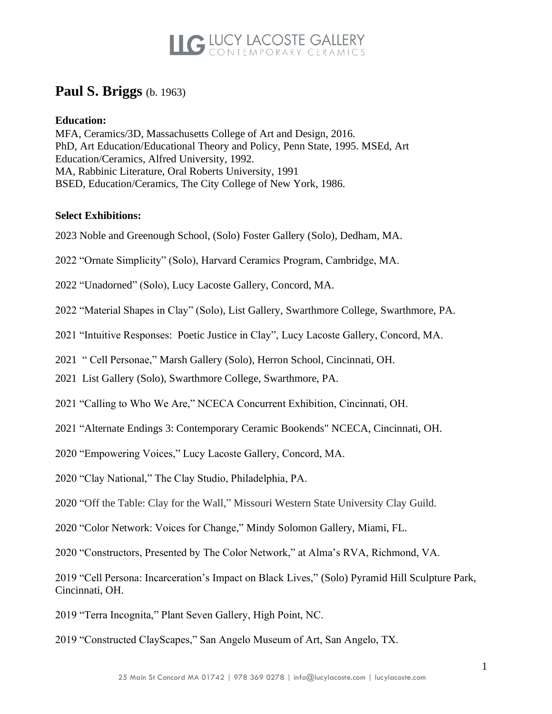### **Paul S. Briggs** (b. 1963)

#### **Education:**

MFA, Ceramics/3D, Massachusetts College of Art and Design, 2016. PhD, Art Education/Educational Theory and Policy, Penn State, 1995. MSEd, Art Education/Ceramics, Alfred University, 1992. MA, Rabbinic Literature, Oral Roberts University, 1991 BSED, Education/Ceramics, The City College of New York, 1986.

#### **Select Exhibitions:**

- 2023 Noble and Greenough School, (Solo) Foster Gallery (Solo), Dedham, MA.
- 2022 "Ornate Simplicity" (Solo), Harvard Ceramics Program, Cambridge, MA.
- 2022 "Unadorned" (Solo), Lucy Lacoste Gallery, Concord, MA.
- 2022 "Material Shapes in Clay" (Solo), List Gallery, Swarthmore College, Swarthmore, PA.
- 2021 "Intuitive Responses: Poetic Justice in Clay", Lucy Lacoste Gallery, Concord, MA.
- 2021 " Cell Personae," Marsh Gallery (Solo), Herron School, Cincinnati, OH.
- 2021 List Gallery (Solo), Swarthmore College, Swarthmore, PA.
- 2021 "Calling to Who We Are," NCECA Concurrent Exhibition, Cincinnati, OH.
- 2021 "Alternate Endings 3: Contemporary Ceramic Bookends" NCECA, Cincinnati, OH.
- 2020 "Empowering Voices," Lucy Lacoste Gallery, Concord, MA.
- 2020 "Clay National," The Clay Studio, Philadelphia, PA.
- 2020 "Off the Table: Clay for the Wall," Missouri Western State University Clay Guild.
- 2020 "Color Network: Voices for Change," Mindy Solomon Gallery, Miami, FL.
- 2020 "Constructors, Presented by The Color Network," at Alma's RVA, Richmond, VA.

2019 "Cell Persona: Incarceration's Impact on Black Lives," (Solo) Pyramid Hill Sculpture Park, Cincinnati, OH.

- 2019 "Terra Incognita," Plant Seven Gallery, High Point, NC.
- 2019 "Constructed ClayScapes," San Angelo Museum of Art, San Angelo, TX.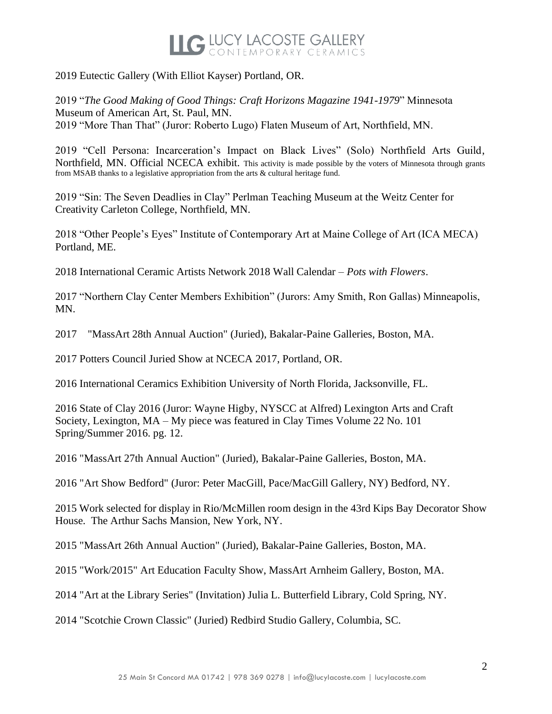2019 Eutectic Gallery (With Elliot Kayser) Portland, OR.

2019 "*The Good Making of Good Things: Craft Horizons Magazine 1941-1979*" Minnesota Museum of American Art, St. Paul, MN. 2019 "More Than That" (Juror: Roberto Lugo) Flaten Museum of Art, Northfield, MN.

2019 "Cell Persona: Incarceration's Impact on Black Lives" (Solo) Northfield Arts Guild, Northfield, MN. Official NCECA exhibit. This activity is made possible by the voters of Minnesota through grants from MSAB thanks to a legislative appropriation from the arts & cultural heritage fund.

2019 "Sin: The Seven Deadlies in Clay" Perlman Teaching Museum at the Weitz Center for Creativity Carleton College, Northfield, MN.

2018 "Other People's Eyes" Institute of Contemporary Art at Maine College of Art (ICA MECA) Portland, ME.

2018 International Ceramic Artists Network 2018 Wall Calendar – *Pots with Flowers*.

2017 "Northern Clay Center Members Exhibition" (Jurors: Amy Smith, Ron Gallas) Minneapolis, MN.

2017 "MassArt 28th Annual Auction" (Juried), Bakalar-Paine Galleries, Boston, MA.

2017 Potters Council Juried Show at NCECA 2017, Portland, OR.

2016 International Ceramics Exhibition University of North Florida, Jacksonville, FL.

2016 State of Clay 2016 (Juror: Wayne Higby, NYSCC at Alfred) Lexington Arts and Craft Society, Lexington, MA – My piece was featured in Clay Times Volume 22 No. 101 Spring/Summer 2016. pg. 12.

2016 "MassArt 27th Annual Auction" (Juried), Bakalar-Paine Galleries, Boston, MA.

2016 "Art Show Bedford" (Juror: Peter MacGill, Pace/MacGill Gallery, NY) Bedford, NY.

2015 Work selected for display in Rio/McMillen room design in the 43rd Kips Bay Decorator Show House. The Arthur Sachs Mansion, New York, NY.

2015 "MassArt 26th Annual Auction" (Juried), Bakalar-Paine Galleries, Boston, MA.

2015 "Work/2015" Art Education Faculty Show, MassArt Arnheim Gallery, Boston, MA.

2014 "Art at the Library Series" (Invitation) Julia L. Butterfield Library, Cold Spring, NY.

2014 "Scotchie Crown Classic" (Juried) Redbird Studio Gallery, Columbia, SC.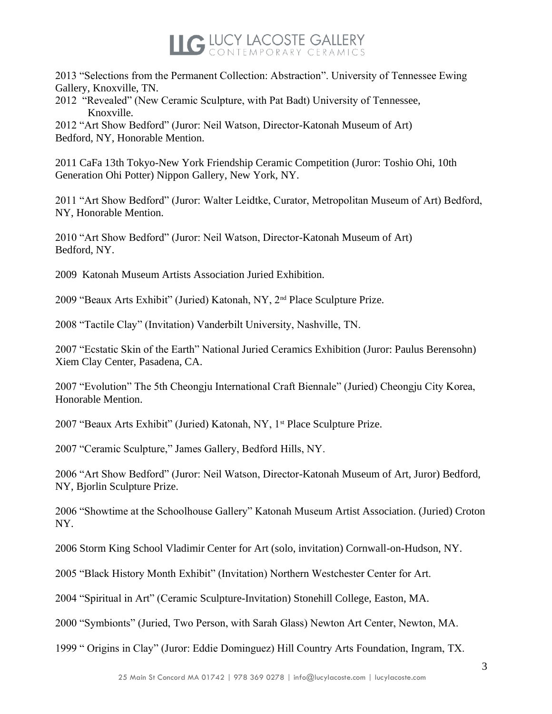2013 "Selections from the Permanent Collection: Abstraction". University of Tennessee Ewing Gallery, Knoxville, TN.

2012 "Revealed" (New Ceramic Sculpture, with Pat Badt) University of Tennessee, Knoxville.

2012 "Art Show Bedford" (Juror: Neil Watson, Director-Katonah Museum of Art) Bedford, NY, Honorable Mention.

2011 CaFa 13th Tokyo-New York Friendship Ceramic Competition (Juror: Toshio Ohi, 10th Generation Ohi Potter) Nippon Gallery, New York, NY.

2011 "Art Show Bedford" (Juror: Walter Leidtke, Curator, Metropolitan Museum of Art) Bedford, NY, Honorable Mention.

2010 "Art Show Bedford" (Juror: Neil Watson, Director-Katonah Museum of Art) Bedford, NY.

2009 Katonah Museum Artists Association Juried Exhibition.

2009 "Beaux Arts Exhibit" (Juried) Katonah, NY, 2nd Place Sculpture Prize.

2008 "Tactile Clay" (Invitation) Vanderbilt University, Nashville, TN.

2007 "Ecstatic Skin of the Earth" National Juried Ceramics Exhibition (Juror: Paulus Berensohn) Xiem Clay Center, Pasadena, CA.

2007 "Evolution" The 5th Cheongju International Craft Biennale" (Juried) Cheongju City Korea, Honorable Mention.

2007 "Beaux Arts Exhibit" (Juried) Katonah, NY, 1<sup>st</sup> Place Sculpture Prize.

2007 "Ceramic Sculpture," James Gallery, Bedford Hills, NY.

2006 "Art Show Bedford" (Juror: Neil Watson, Director-Katonah Museum of Art, Juror) Bedford, NY, Bjorlin Sculpture Prize.

2006 "Showtime at the Schoolhouse Gallery" Katonah Museum Artist Association. (Juried) Croton NY.

2006 Storm King School Vladimir Center for Art (solo, invitation) Cornwall-on-Hudson, NY.

2005 "Black History Month Exhibit" (Invitation) Northern Westchester Center for Art.

2004 "Spiritual in Art" (Ceramic Sculpture-Invitation) Stonehill College, Easton, MA.

2000 "Symbionts" (Juried, Two Person, with Sarah Glass) Newton Art Center, Newton, MA.

1999 " Origins in Clay" (Juror: Eddie Dominguez) Hill Country Arts Foundation, Ingram, TX.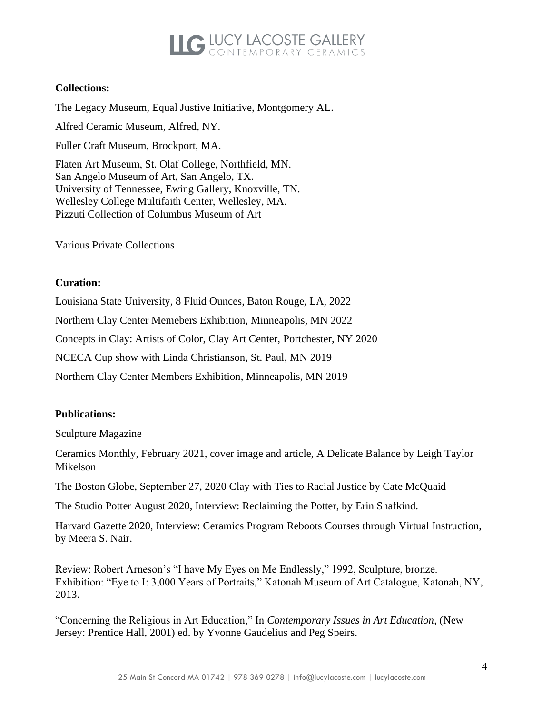#### **Collections:**

The Legacy Museum, Equal Justive Initiative, Montgomery AL. Alfred Ceramic Museum, Alfred, NY.

Fuller Craft Museum, Brockport, MA.

Flaten Art Museum, St. Olaf College, Northfield, MN. San Angelo Museum of Art, San Angelo, TX. University of Tennessee, Ewing Gallery, Knoxville, TN. Wellesley College Multifaith Center, Wellesley, MA. Pizzuti Collection of Columbus Museum of Art

Various Private Collections

#### **Curation:**

Louisiana State University, 8 Fluid Ounces, Baton Rouge, LA, 2022 Northern Clay Center Memebers Exhibition, Minneapolis, MN 2022 Concepts in Clay: Artists of Color, Clay Art Center, Portchester, NY 2020 NCECA Cup show with Linda Christianson, St. Paul, MN 2019 Northern Clay Center Members Exhibition, Minneapolis, MN 2019

#### **Publications:**

Sculpture Magazine

Ceramics Monthly, February 2021, cover image and article, A Delicate Balance by Leigh Taylor Mikelson

The Boston Globe, September 27, 2020 Clay with Ties to Racial Justice by Cate McQuaid

The Studio Potter August 2020, Interview: Reclaiming the Potter, by Erin Shafkind.

Harvard Gazette 2020, Interview: Ceramics Program Reboots Courses through Virtual Instruction, by Meera S. Nair.

Review: Robert Arneson's "I have My Eyes on Me Endlessly," 1992, Sculpture, bronze. Exhibition: "Eye to I: 3,000 Years of Portraits," Katonah Museum of Art Catalogue, Katonah, NY, 2013.

"Concerning the Religious in Art Education," In *Contemporary Issues in Art Education*, (New Jersey: Prentice Hall, 2001) ed. by Yvonne Gaudelius and Peg Speirs.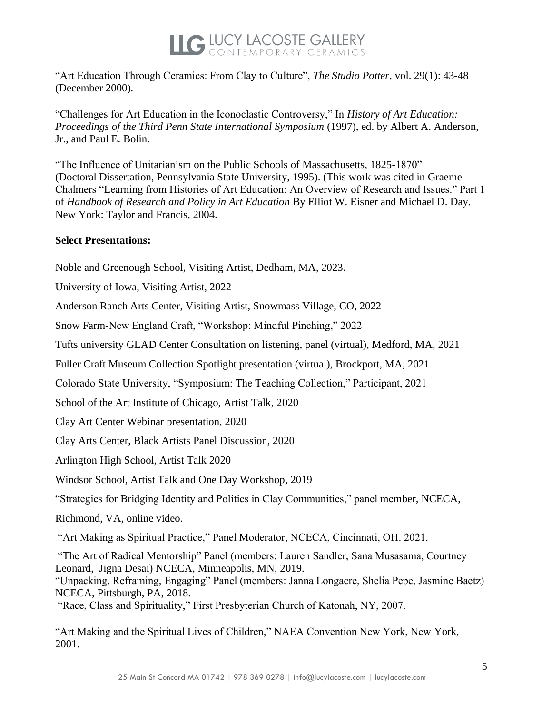

"Art Education Through Ceramics: From Clay to Culture", *The Studio Potter,* vol. 29(1): 43-48 (December 2000)*.* 

"Challenges for Art Education in the Iconoclastic Controversy," In *History of Art Education: Proceedings of the Third Penn State International Symposium* (1997), ed. by Albert A. Anderson, Jr., and Paul E. Bolin.

"The Influence of Unitarianism on the Public Schools of Massachusetts, 1825-1870" (Doctoral Dissertation, Pennsylvania State University, 1995). (This work was cited in Graeme Chalmers "Learning from Histories of Art Education: An Overview of Research and Issues." Part 1 of *Handbook of Research and Policy in Art Education* By Elliot W. Eisner and Michael D. Day. New York: Taylor and Francis, 2004.

#### **Select Presentations:**

Noble and Greenough School, Visiting Artist, Dedham, MA, 2023.

University of Iowa, Visiting Artist, 2022

Anderson Ranch Arts Center, Visiting Artist, Snowmass Village, CO, 2022

Snow Farm-New England Craft, "Workshop: Mindful Pinching," 2022

Tufts university GLAD Center Consultation on listening, panel (virtual), Medford, MA, 2021

Fuller Craft Museum Collection Spotlight presentation (virtual), Brockport, MA, 2021

Colorado State University, "Symposium: The Teaching Collection," Participant, 2021

School of the Art Institute of Chicago, Artist Talk, 2020

Clay Art Center Webinar presentation, 2020

Clay Arts Center, Black Artists Panel Discussion, 2020

Arlington High School, Artist Talk 2020

Windsor School, Artist Talk and One Day Workshop, 2019

"Strategies for Bridging Identity and Politics in Clay Communities," panel member, NCECA,

Richmond, VA, online video.

"Art Making as Spiritual Practice," Panel Moderator, NCECA, Cincinnati, OH. 2021.

"The Art of Radical Mentorship" Panel (members: Lauren Sandler, Sana Musasama, Courtney Leonard, Jigna Desai) NCECA, Minneapolis, MN, 2019.

"Unpacking, Reframing, Engaging" Panel (members: Janna Longacre, Shelia Pepe, Jasmine Baetz) NCECA, Pittsburgh, PA, 2018.

"Race, Class and Spirituality," First Presbyterian Church of Katonah, NY, 2007.

"Art Making and the Spiritual Lives of Children," NAEA Convention New York, New York, 2001.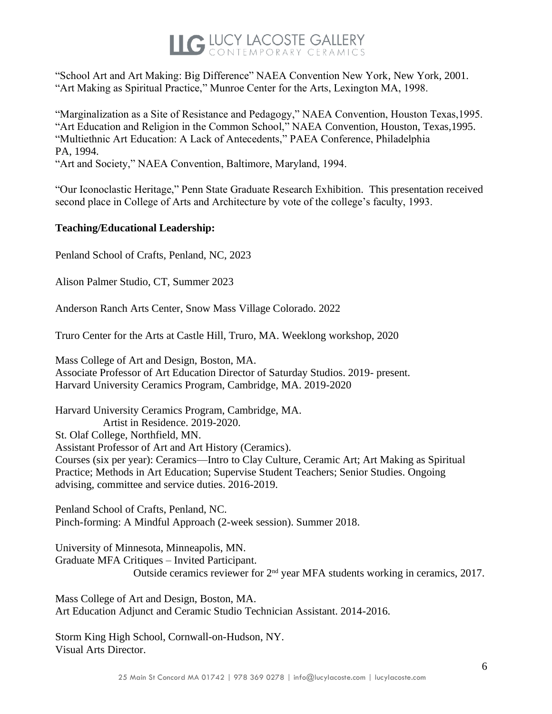"School Art and Art Making: Big Difference" NAEA Convention New York, New York, 2001. "Art Making as Spiritual Practice," Munroe Center for the Arts, Lexington MA, 1998.

"Marginalization as a Site of Resistance and Pedagogy," NAEA Convention, Houston Texas,1995. "Art Education and Religion in the Common School," NAEA Convention, Houston, Texas,1995. "Multiethnic Art Education: A Lack of Antecedents," PAEA Conference, Philadelphia PA, 1994.

"Art and Society," NAEA Convention, Baltimore, Maryland, 1994.

"Our Iconoclastic Heritage," Penn State Graduate Research Exhibition. This presentation received second place in College of Arts and Architecture by vote of the college's faculty, 1993.

#### **Teaching/Educational Leadership:**

Penland School of Crafts, Penland, NC, 2023

Alison Palmer Studio, CT, Summer 2023

Anderson Ranch Arts Center, Snow Mass Village Colorado. 2022

Truro Center for the Arts at Castle Hill, Truro, MA. Weeklong workshop, 2020

Mass College of Art and Design, Boston, MA. Associate Professor of Art Education Director of Saturday Studios. 2019- present. Harvard University Ceramics Program, Cambridge, MA. 2019-2020

Harvard University Ceramics Program, Cambridge, MA. Artist in Residence. 2019-2020. St. Olaf College, Northfield, MN. Assistant Professor of Art and Art History (Ceramics). Courses (six per year): Ceramics—Intro to Clay Culture, Ceramic Art; Art Making as Spiritual Practice; Methods in Art Education; Supervise Student Teachers; Senior Studies. Ongoing advising, committee and service duties. 2016-2019.

Penland School of Crafts, Penland, NC. Pinch-forming: A Mindful Approach (2-week session). Summer 2018.

University of Minnesota, Minneapolis, MN. Graduate MFA Critiques – Invited Participant. Outside ceramics reviewer for 2nd year MFA students working in ceramics, 2017.

Mass College of Art and Design, Boston, MA. Art Education Adjunct and Ceramic Studio Technician Assistant. 2014-2016.

Storm King High School, Cornwall-on-Hudson, NY. Visual Arts Director.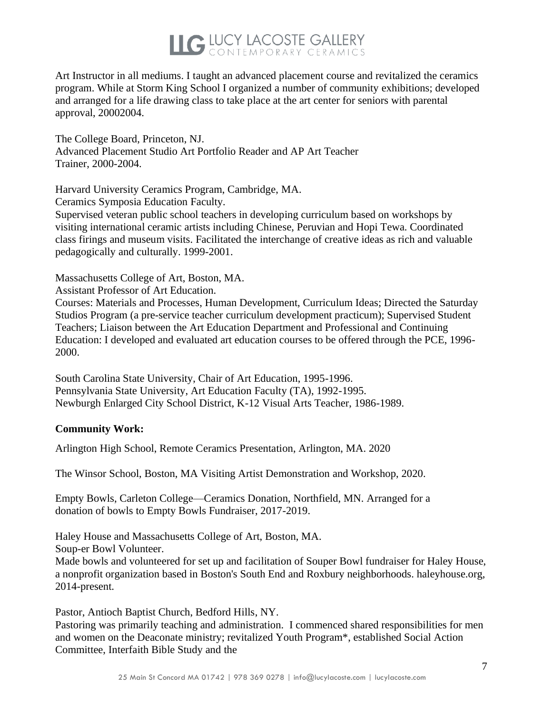Art Instructor in all mediums. I taught an advanced placement course and revitalized the ceramics program. While at Storm King School I organized a number of community exhibitions; developed and arranged for a life drawing class to take place at the art center for seniors with parental approval, 20002004.

The College Board, Princeton, NJ. Advanced Placement Studio Art Portfolio Reader and AP Art Teacher Trainer, 2000-2004.

Harvard University Ceramics Program, Cambridge, MA.

Ceramics Symposia Education Faculty.

Supervised veteran public school teachers in developing curriculum based on workshops by visiting international ceramic artists including Chinese, Peruvian and Hopi Tewa. Coordinated class firings and museum visits. Facilitated the interchange of creative ideas as rich and valuable pedagogically and culturally. 1999-2001.

Massachusetts College of Art, Boston, MA.

Assistant Professor of Art Education.

Courses: Materials and Processes, Human Development, Curriculum Ideas; Directed the Saturday Studios Program (a pre-service teacher curriculum development practicum); Supervised Student Teachers; Liaison between the Art Education Department and Professional and Continuing Education: I developed and evaluated art education courses to be offered through the PCE, 1996- 2000.

South Carolina State University, Chair of Art Education, 1995-1996. Pennsylvania State University, Art Education Faculty (TA), 1992-1995. Newburgh Enlarged City School District, K-12 Visual Arts Teacher, 1986-1989.

#### **Community Work:**

Arlington High School, Remote Ceramics Presentation, Arlington, MA. 2020

The Winsor School, Boston, MA Visiting Artist Demonstration and Workshop, 2020.

Empty Bowls, Carleton College—Ceramics Donation, Northfield, MN. Arranged for a donation of bowls to Empty Bowls Fundraiser, 2017-2019.

Haley House and Massachusetts College of Art, Boston, MA. Soup-er Bowl Volunteer.

Made bowls and volunteered for set up and facilitation of Souper Bowl fundraiser for Haley House, a nonprofit organization based in Boston's South End and Roxbury neighborhoods. haleyhouse.org, 2014-present.

Pastor, Antioch Baptist Church, Bedford Hills, NY.

Pastoring was primarily teaching and administration. I commenced shared responsibilities for men and women on the Deaconate ministry; revitalized Youth Program\*, established Social Action Committee, Interfaith Bible Study and the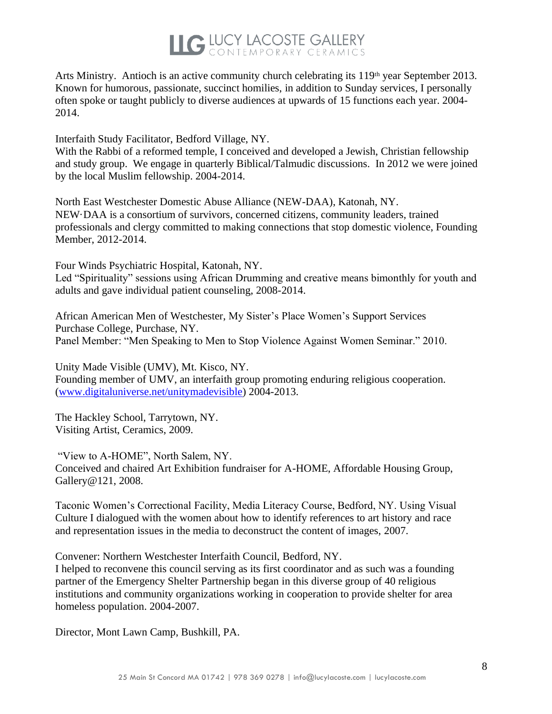Arts Ministry. Antioch is an active community church celebrating its  $119<sup>th</sup>$  year September 2013. Known for humorous, passionate, succinct homilies, in addition to Sunday services, I personally often spoke or taught publicly to diverse audiences at upwards of 15 functions each year. 2004- 2014.

Interfaith Study Facilitator, Bedford Village, NY.

With the Rabbi of a reformed temple, I conceived and developed a Jewish, Christian fellowship and study group. We engage in quarterly Biblical/Talmudic discussions. In 2012 we were joined by the local Muslim fellowship. 2004-2014.

North East Westchester Domestic Abuse Alliance (NEW-DAA), Katonah, NY. NEW·DAA is a consortium of survivors, concerned citizens, community leaders, trained professionals and clergy committed to making connections that stop domestic violence, Founding Member, 2012-2014.

Four Winds Psychiatric Hospital, Katonah, NY. Led "Spirituality" sessions using African Drumming and creative means bimonthly for youth and adults and gave individual patient counseling, 2008-2014.

African American Men of Westchester, My Sister's Place Women's Support Services Purchase College, Purchase, NY. Panel Member: "Men Speaking to Men to Stop Violence Against Women Seminar." 2010.

Unity Made Visible (UMV), Mt. Kisco, NY. Founding member of UMV, an interfaith group promoting enduring religious cooperation. (www.digitaluniverse.net/unitymadevisible) 2004-2013.

The Hackley School, Tarrytown, NY. Visiting Artist, Ceramics, 2009.

"View to A-HOME", North Salem, NY. Conceived and chaired Art Exhibition fundraiser for A-HOME, Affordable Housing Group, Gallery@121, 2008.

Taconic Women's Correctional Facility, Media Literacy Course, Bedford, NY. Using Visual Culture I dialogued with the women about how to identify references to art history and race and representation issues in the media to deconstruct the content of images, 2007.

Convener: Northern Westchester Interfaith Council, Bedford, NY.

I helped to reconvene this council serving as its first coordinator and as such was a founding partner of the Emergency Shelter Partnership began in this diverse group of 40 religious institutions and community organizations working in cooperation to provide shelter for area homeless population. 2004-2007.

Director, Mont Lawn Camp, Bushkill, PA.